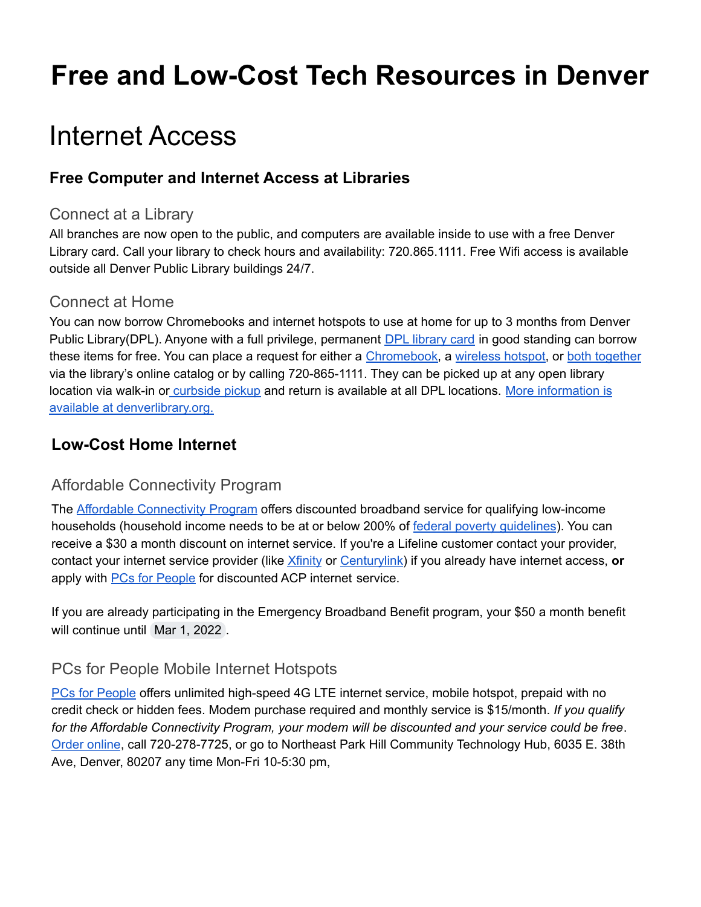# **Free and Low-Cost Tech Resources in Denver**

# Internet Access

### **Free Computer and Internet Access at Libraries**

#### Connect at a Library

All branches are now open to the public, and computers are available inside to use with a free Denver Library card. Call your library to check hours and availability: 720.865.1111. Free Wifi access is available outside all Denver Public Library buildings 24/7.

#### Connect at Home

You can now borrow Chromebooks and internet hotspots to use at home for up to 3 months from Denver Public Library(DPL). Anyone with a full privilege, permanent **DPL** [library](https://www.denverlibrary.org/library-card) card in good standing can borrow these items for free. You can place a request for either a [Chromebook,](https://catalog.denverlibrary.org/view.aspx?cn=2201046) a [wireless](https://catalog.denverlibrary.org/view.aspx?cn=2184283) hotspot, or both [together](https://catalog.denverlibrary.org/view.aspx?cn=2201114) via the library's online catalog or by calling 720-865-1111. They can be picked up at any open library location via walk-in or [curbside](https://www.denverlibrary.org/curbside-holds) pickup and return is available at all DPL locations. More [information](https://www.denverlibrary.org/blog/library-news/stacey/chromebooks-and-internet-hotspots-now-available-borrow) is available at [denverlibrary.org.](https://www.denverlibrary.org/blog/library-news/stacey/chromebooks-and-internet-hotspots-now-available-borrow)

### **Low-Cost Home Internet**

### Affordable Connectivity Program

The **Affordable [Connectivity](https://acpbenefit.org/) Program** offers discounted broadband service for qualifying low-income households (household income needs to be at or below 200% of federal poverty quidelines). You can receive a \$30 a month discount on internet service. If you're a Lifeline customer contact your provider, contact your internet service provider (like [Xfinity](https://www.xfinity.com/learn/internet-service/ebb) or [Centurylink](https://www.centurylink.com/aboutus/community/community-development/lifeline/broadband-benefit.html)) if you already have internet access, **or** apply with **PCs for [People](https://ebb.pcsrefurbished.com/ebb)** for discounted ACP internet service.

If you are already participating in the Emergency Broadband Benefit program, your \$50 a month benefit will continue until Mar 1, 2022.

### PCs for People Mobile Internet Hotspots

PCs for [People](http://www.pcsrefurbished.com) offers unlimited high-speed 4G LTE internet service, mobile hotspot, prepaid with no credit check or hidden fees. Modem purchase required and monthly service is \$15/month. *If you qualify for the Affordable Connectivity Program, your modem will be discounted and your service could be free*. Order [online](https://pcsrefurbished.com/sales/buyInternet.aspx?product=9864), call 720-278-7725, or go to Northeast Park Hill Community Technology Hub, 6035 E. 38th Ave, Denver, 80207 any time Mon-Fri 10-5:30 pm,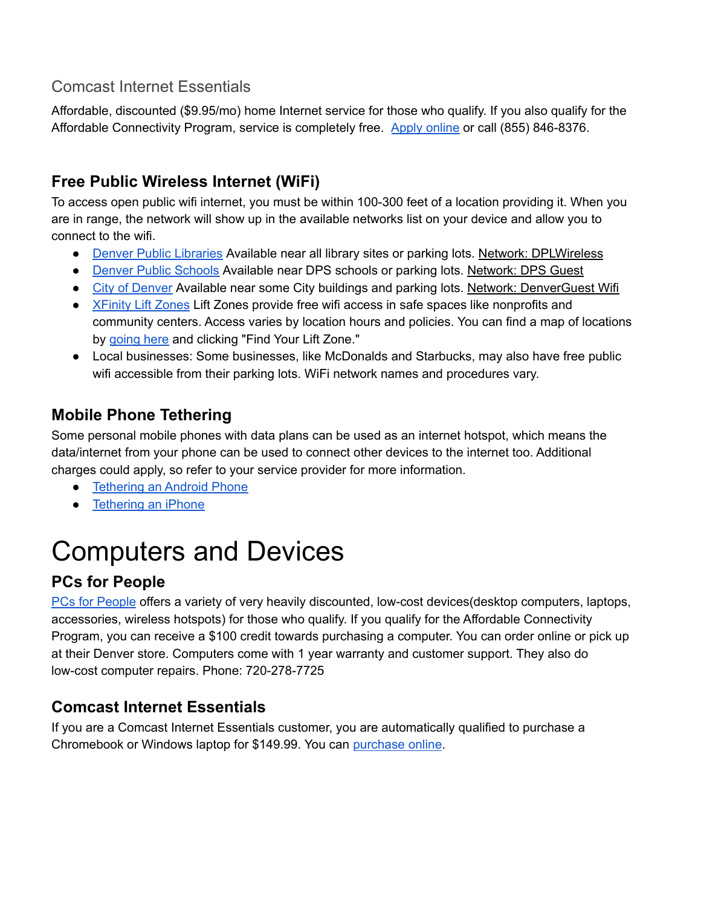### Comcast Internet Essentials

Affordable, discounted (\$9.95/mo) home Internet service for those who qualify. If you also qualify for the Affordable Connectivity Program, service is completely free. Apply [online](https://www.internetessentials.com/) or call (855) 846-8376.

## **Free Public Wireless Internet (WiFi)**

To access open public wifi internet, you must be within 100-300 feet of a location providing it. When you are in range, the network will show up in the available networks list on your device and allow you to connect to the wifi.

- Denver Public [Libraries](https://www.denverlibrary.org/) Available near all library sites or parking lots. Network: DPLWireless
- Denver Public [Schools](https://dps.schoolmint.net/school-finder) Available near DPS schools or parking lots. Network: DPS Guest
- City of [Denver](https://www.denvergov.org/content/denvergov/en.html) Available near some City buildings and parking lots. Network: DenverGuest Wifi
- [XFinity](https://corporate.comcast.com/impact/digital-equity/lift-zones) Lift Zones Lift Zones provide free wifi access in safe spaces like nonprofits and community centers. Access varies by location hours and policies. You can find a map of locations by [going](https://corporate.comcast.com/impact/digital-equity/lift-zones) here and clicking "Find Your Lift Zone."
- Local businesses: Some businesses, like McDonalds and Starbucks, may also have free public wifi accessible from their parking lots. WiFi network names and procedures vary.

## **Mobile Phone Tethering**

Some personal mobile phones with data plans can be used as an internet hotspot, which means the data/internet from your phone can be used to connect other devices to the internet too. Additional charges could apply, so refer to your service provider for more information.

- [Tethering](https://support.google.com/android/answer/9059108?hl=en) an Android Phone
- [Tethering](https://support.apple.com/en-us/HT204023) an iPhone

# Computers and Devices

## **PCs for People**

PCs for [People](https://www.pcsforpeople.org/get-technology/) offers a variety of very heavily discounted, low-cost devices(desktop computers, laptops, accessories, wireless hotspots) for those who qualify. If you qualify for the Affordable Connectivity Program, you can receive a \$100 credit towards purchasing a computer. You can order online or pick up at their Denver store. Computers come with 1 year warranty and customer support. They also do low-cost computer repairs. Phone: 720-278-7725

## **Comcast Internet Essentials**

If you are a Comcast Internet Essentials customer, you are automatically qualified to purchase a Chromebook or Windows laptop for \$149.99. You can [purchase](https://www.internetessentials.com/low-cost-computer) online.